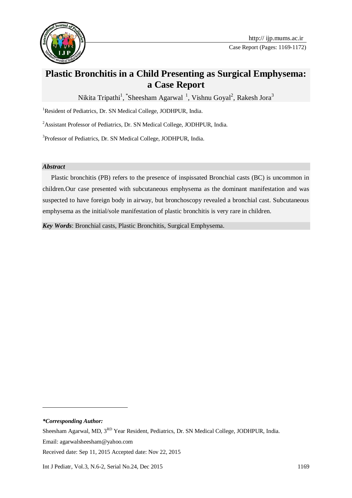

# **Plastic Bronchitis in a Child Presenting as Surgical Emphysema: a Case Report**

Nikita Tripathi<sup>1</sup>, \*Sheesham Agarwal<sup>1</sup>, Vishnu Goyal<sup>2</sup>, Rakesh Jora<sup>3</sup>

<sup>1</sup>Resident of Pediatrics, Dr. SN Medical College, JODHPUR, India.

<sup>2</sup> Assistant Professor of Pediatrics, Dr. SN Medical College, JODHPUR, India.

<sup>3</sup>Professor of Pediatrics, Dr. SN Medical College, JODHPUR, India.

### *Abstract*

Plastic bronchitis (PB) refers to the presence of inspissated Bronchial casts (BC) is uncommon in children.Our case presented with subcutaneous emphysema as the dominant manifestation and was suspected to have foreign body in airway, but bronchoscopy revealed a bronchial cast. Subcutaneous emphysema as the initial/sole manifestation of plastic bronchitis is very rare in children.

*Key Words*: Bronchial casts, Plastic Bronchitis, Surgical Emphysema.

*\*Corresponding Author:*

-

Sheesham Agarwal, MD, 3<sup>RD</sup> Year Resident, Pediatrics, Dr. SN Medical College, JODHPUR, India.

Email: agarwalsheesham@yahoo.com

Received date: Sep 11, 2015 Accepted date: Nov 22, 2015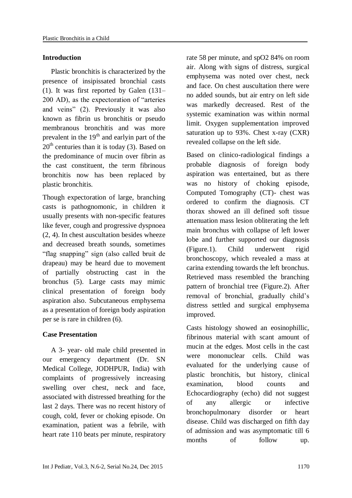#### **Introduction**

Plastic bronchitis is characterized by the presence of insipissated bronchial casts (1). It was first reported by Galen (131– 200 AD), as the expectoration of "arteries and veins" (2). Previously it was also known as fibrin us bronchitis or pseudo membranous bronchitis and was more prevalent in the  $19<sup>th</sup>$  and earlyin part of the  $20<sup>th</sup>$  centuries than it is today (3). Based on the predominance of mucin over fibrin as the cast constituent, the term fibrinous bronchitis now has been replaced by plastic bronchitis.

Though expectoration of large, branching casts is pathognomonic, in children it usually presents with non-specific features like fever, cough and progressive dyspnoea (2, 4). In chest auscultation besides wheeze and decreased breath sounds, sometimes "flag snapping" sign (also called bruit de drapeau) may be heard due to movement of partially obstructing cast in the bronchus (5). Large casts may mimic clinical presentation of foreign body aspiration also. Subcutaneous emphysema as a presentation of foreign body aspiration per se is rare in children (6).

#### **Case Presentation**

A 3- year- old male child presented in our emergency department (Dr. SN Medical College, JODHPUR, India) with complaints of progressively increasing swelling over chest, neck and face, associated with distressed breathing for the last 2 days. There was no recent history of cough, cold, fever or choking episode. On examination, patient was a febrile, with heart rate 110 beats per minute, respiratory rate 58 per minute, and spO2 84% on room air. Along with signs of distress, surgical emphysema was noted over chest, neck and face. On chest auscultation there were no added sounds, but air entry on left side was markedly decreased. Rest of the systemic examination was within normal limit. Oxygen supplementation improved saturation up to 93%. Chest x-ray (CXR) revealed collapse on the left side.

Based on clinico-radiological findings a probable diagnosis of foreign body aspiration was entertained, but as there was no history of choking episode, Computed Tomography (CT)- chest was ordered to confirm the diagnosis. CT thorax showed an ill defined soft tissue attenuation mass lesion obliterating the left main bronchus with collapse of left lower lobe and further supported our diagnosis (Figure.1). Child underwent rigid bronchoscopy, which revealed a mass at carina extending towards the left bronchus. Retrieved mass resembled the branching pattern of bronchial tree (Figure.2). After removal of bronchial, gradually child's distress settled and surgical emphysema improved.

Casts histology showed an eosinophillic, fibrinous material with scant amount of mucin at the edges. Most cells in the cast were mononuclear cells. Child was evaluated for the underlying cause of plastic bronchitis, but history, clinical examination, blood counts and Echocardiography (echo) did not suggest of any allergic or infective bronchopulmonary disorder or heart disease. Child was discharged on fifth day of admission and was asymptomatic till 6 months of follow up.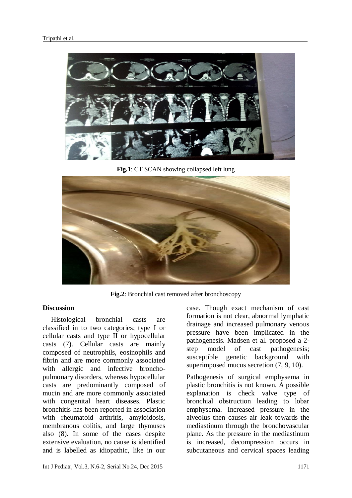

**Fig.1**: CT SCAN showing collapsed left lung



**Fig.2**: Bronchial cast removed after bronchoscopy

## **Discussion**

Histological bronchial casts are classified in to two categories; type I or cellular casts and type II or hypocellular casts (7). Cellular casts are mainly composed of neutrophils, eosinophils and fibrin and are more commonly associated with allergic and infective bronchopulmonary disorders, whereas hypocellular casts are predominantly composed of mucin and are more commonly associated with congenital heart diseases. Plastic bronchitis has been reported in association with rheumatoid arthritis, amyloidosis, membranous colitis, and large thymuses also (8). In some of the cases despite extensive evaluation, no cause is identified and is labelled as idiopathic, like in our

case. Though exact mechanism of cast formation is not clear, abnormal lymphatic drainage and increased pulmonary venous pressure have been implicated in the pathogenesis. Madsen et al. proposed a 2 step model of cast pathogenesis; susceptible genetic background with superimposed mucus secretion  $(7, 9, 10)$ .

Pathogenesis of surgical emphysema in plastic bronchitis is not known. A possible explanation is check valve type of bronchial obstruction leading to lobar emphysema. Increased pressure in the alveolus then causes air leak towards the mediastinum through the bronchovascular plane. As the pressure in the mediastinum is increased, decompression occurs in subcutaneous and cervical spaces leading